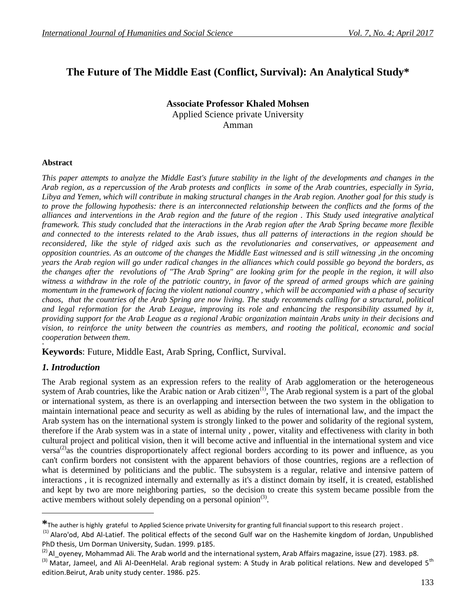# **The Future of The Middle East (Conflict, Survival): An Analytical Study\***

**Associate Professor Khaled Mohsen** Applied Science private University Amman

#### **Abstract**

*This paper attempts to analyze the Middle East's future stability in the light of the developments and changes in the Arab region, as a repercussion of the Arab protests and conflicts in some of the Arab countries, especially in Syria, Libya and Yemen, which will contribute in making structural changes in the Arab region. Another goal for this study is to prove the following hypothesis: there is an interconnected relationship between the conflicts and the forms of the alliances and interventions in the Arab region and the future of the region . This Study used integrative analytical framework. This study concluded that the interactions in the Arab region after the Arab Spring became more flexible and connected to the interests related to the Arab issues, thus all patterns of interactions in the region should be reconsidered, like the style of ridged axis such as the revolutionaries and conservatives, or appeasement and opposition countries. As an outcome of the changes the Middle East witnessed and is still witnessing ,in the oncoming years the Arab region will go under radical changes in the alliances which could possible go beyond the borders, as the changes after the revolutions of "The Arab Spring" are looking grim for the people in the region, it will also witness a withdraw in the role of the patriotic country, in favor of the spread of armed groups which are gaining momentum in the framework of facing the violent national country , which will be accompanied with a phase of security chaos, that the countries of the Arab Spring are now living. The study recommends calling for a structural, political and legal reformation for the Arab League, improving its role and enhancing the responsibility assumed by it, providing support for the Arab League as a regional Arabic organization maintain Arabs unity in their decisions and vision, to reinforce the unity between the countries as members, and rooting the political, economic and social cooperation between them.*

**+ Keywords**: Future, Middle East, Arab Spring, Conflict, Survival.

### *1. Introduction*

 $\overline{\phantom{a}}$ 

The Arab regional system as an expression refers to the reality of Arab agglomeration or the heterogeneous system of Arab countries, like the Arabic nation or Arab citizen<sup> $(i)$ </sup>, The Arab regional system is a part of the global or international system, as there is an overlapping and intersection between the two system in the obligation to maintain international peace and security as well as abiding by the rules of international law, and the impact the Arab system has on the international system is strongly linked to the power and solidarity of the regional system, therefore if the Arab system was in a state of internal unity , power, vitality and effectiveness with clarity in both cultural project and political vision, then it will become active and influential in the international system and vice versa $^{(2)}$ as the countries disproportionately affect regional borders according to its power and influence, as you can't confirm borders not consistent with the apparent behaviors of those countries, regions are a reflection of what is determined by politicians and the public. The subsystem is a regular, relative and intensive pattern of interactions , it is recognized internally and externally as it's a distinct domain by itself, it is created, established and kept by two are more neighboring parties, so the decision to create this system became possible from the active members without solely depending on a personal opinion<sup>(3)</sup>.

**<sup>\*</sup>**The auther is highly grateful to Applied Science private University for granting full financial support to this research project .

 $^{(1)}$  Alaro'od, Abd Al-Latief. The political effects of the second Gulf war on the Hashemite kingdom of Jordan, Unpublished PhD thesis, Um Dorman University, Sudan. 1999. p185.

<sup>&</sup>lt;sup>(2)</sup> Al\_oyeney, Mohammad Ali. The Arab world and the international system, Arab Affairs magazine, issue (27). 1983. p8.

 $^{(3)}$  Matar, Jameel, and Ali Al-DeenHelal. Arab regional system: A Study in Arab political relations. New and developed  $5<sup>th</sup>$ edition.Beirut, Arab unity study center. 1986. p25.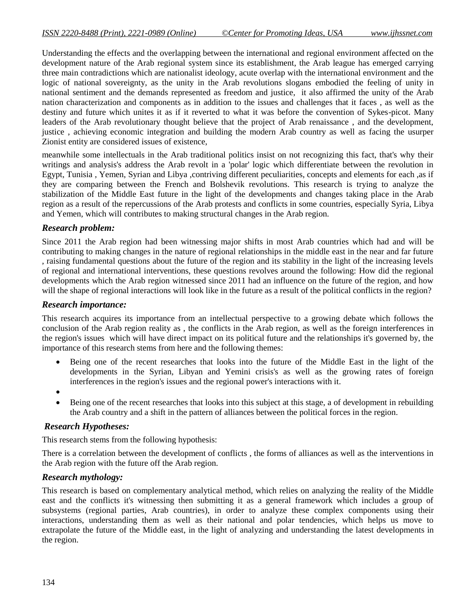Understanding the effects and the overlapping between the international and regional environment affected on the development nature of the Arab regional system since its establishment, the Arab league has emerged carrying three main contradictions which are nationalist ideology, acute overlap with the international environment and the logic of national sovereignty, as the unity in the Arab revolutions slogans embodied the feeling of unity in national sentiment and the demands represented as freedom and justice, it also affirmed the unity of the Arab nation characterization and components as in addition to the issues and challenges that it faces , as well as the destiny and future which unites it as if it reverted to what it was before the convention of Sykes-picot. Many leaders of the Arab revolutionary thought believe that the project of Arab renaissance , and the development, justice , achieving economic integration and building the modern Arab country as well as facing the usurper Zionist entity are considered issues of existence,

meanwhile some intellectuals in the Arab traditional politics insist on not recognizing this fact, that's why their writings and analysis's address the Arab revolt in a 'polar' logic which differentiate between the revolution in Egypt, Tunisia , Yemen, Syrian and Libya ,contriving different peculiarities, concepts and elements for each ,as if they are comparing between the French and Bolshevik revolutions. This research is trying to analyze the stabilization of the Middle East future in the light of the developments and changes taking place in the Arab region as a result of the repercussions of the Arab protests and conflicts in some countries, especially Syria, Libya and Yemen, which will contributes to making structural changes in the Arab region.

### *Research problem:*

Since 2011 the Arab region had been witnessing major shifts in most Arab countries which had and will be contributing to making changes in the nature of regional relationships in the middle east in the near and far future , raising fundamental questions about the future of the region and its stability in the light of the increasing levels of regional and international interventions, these questions revolves around the following: How did the regional developments which the Arab region witnessed since 2011 had an influence on the future of the region, and how will the shape of regional interactions will look like in the future as a result of the political conflicts in the region?

#### *Research importance:*

This research acquires its importance from an intellectual perspective to a growing debate which follows the conclusion of the Arab region reality as , the conflicts in the Arab region, as well as the foreign interferences in the region's issues which will have direct impact on its political future and the relationships it's governed by, the importance of this research stems from here and the following themes:

- Being one of the recent researches that looks into the future of the Middle East in the light of the developments in the Syrian, Libyan and Yemini crisis's as well as the growing rates of foreign interferences in the region's issues and the regional power's interactions with it.
- $\bullet$
- Being one of the recent researches that looks into this subject at this stage, a of development in rebuilding the Arab country and a shift in the pattern of alliances between the political forces in the region.

### *Research Hypotheses:*

This research stems from the following hypothesis:

There is a correlation between the development of conflicts , the forms of alliances as well as the interventions in the Arab region with the future off the Arab region.

### *Research mythology:*

This research is based on complementary analytical method, which relies on analyzing the reality of the Middle east and the conflicts it's witnessing then submitting it as a general framework which includes a group of subsystems (regional parties, Arab countries), in order to analyze these complex components using their interactions, understanding them as well as their national and polar tendencies, which helps us move to extrapolate the future of the Middle east, in the light of analyzing and understanding the latest developments in the region.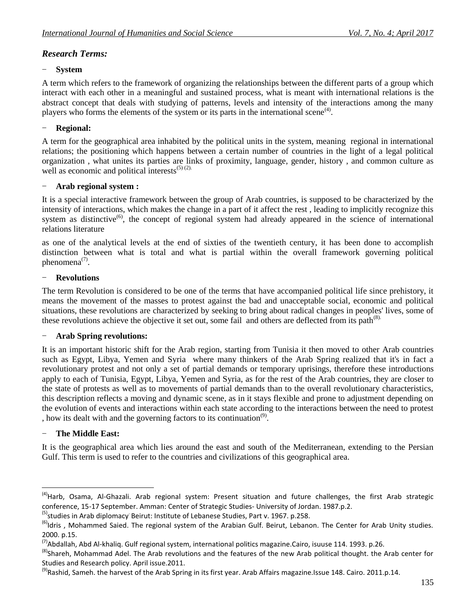# *Research Terms:*

## **System**

A term which refers to the framework of organizing the relationships between the different parts of a group which interact with each other in a meaningful and sustained process, what is meant with international relations is the abstract concept that deals with studying of patterns, levels and intensity of the interactions among the many players who forms the elements of the system or its parts in the international scene<sup>(4)</sup>.

### **Regional:**

A term for the geographical area inhabited by the political units in the system, meaning regional in international relations; the positioning which happens between a certain number of countries in the light of a legal political organization , what unites its parties are links of proximity, language, gender, history , and common culture as well as economic and political interests<sup> $(5)$ </sup> $(2)$ .

#### **Arab regional system :**

It is a special interactive framework between the group of Arab countries, is supposed to be characterized by the intensity of interactions, which makes the change in a part of it affect the rest , leading to implicitly recognize this system as distinctive<sup>(6)</sup>, the concept of regional system had already appeared in the science of international relations literature

as one of the analytical levels at the end of sixties of the twentieth century, it has been done to accomplish distinction between what is total and what is partial within the overall framework governing political phenomena $(7)$ .

### **Revolutions**

The term Revolution is considered to be one of the terms that have accompanied political life since prehistory, it means the movement of the masses to protest against the bad and unacceptable social, economic and political situations, these revolutions are characterized by seeking to bring about radical changes in peoples' lives, some of these revolutions achieve the objective it set out, some fail and others are deflected from its path<sup>(8).</sup>

#### **Arab Spring revolutions:**

It is an important historic shift for the Arab region, starting from Tunisia it then moved to other Arab countries such as Egypt, Libya, Yemen and Syria where many thinkers of the Arab Spring realized that it's in fact a revolutionary protest and not only a set of partial demands or temporary uprisings, therefore these introductions apply to each of Tunisia, Egypt, Libya, Yemen and Syria, as for the rest of the Arab countries, they are closer to the state of protests as well as to movements of partial demands than to the overall revolutionary characteristics, this description reflects a moving and dynamic scene, as in it stays flexible and prone to adjustment depending on the evolution of events and interactions within each state according to the interactions between the need to protest , how its dealt with and the governing factors to its continuation $(9)$ .

### **The Middle East:**

 $\overline{\phantom{a}}$ 

It is the geographical area which lies around the east and south of the Mediterranean, extending to the Persian Gulf. This term is used to refer to the countries and civilizations of this geographical area.

<sup>&</sup>lt;sup>(4)</sup>Harb, Osama, Al-Ghazali. Arab regional system: Present situation and future challenges, the first Arab strategic conference, 15-17 September. Amman: Center of Strategic Studies- University of Jordan. 1987.p.2.

<sup>&</sup>lt;sup>(5)</sup>studies in Arab diplomacy<sup>.</sup> Beirut: Institute of Lebanese Studies, Part v. 1967. p.258.

<sup>&</sup>lt;sup>(6)</sup>Idris, Mohammed Saied. The regional system of the Arabian Gulf. Beirut, Lebanon. The Center for Arab Unity studies. 2000. p.15.

<sup>&</sup>lt;sup>(7)</sup>Abdallah, Abd Al-khaliq. Gulf regional system, international politics magazine.Cairo, isuuse 114. 1993. p.26.

<sup>&</sup>lt;sup>(8)</sup>Shareh, Mohammad Adel. The Arab revolutions and the features of the new Arab political thought. the Arab center for Studies and Research policy. April issue.2011.

<sup>&</sup>lt;sup>(9)</sup>Rashid, Sameh. the harvest of the Arab Spring in its first year. Arab Affairs magazine.Issue 148. Cairo. 2011.p.14.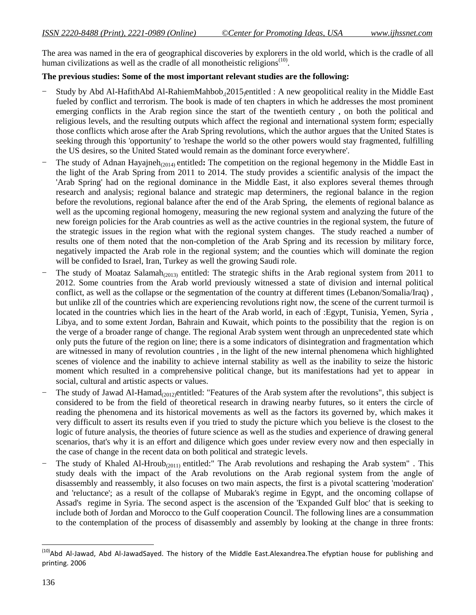The area was named in the era of geographical discoveries by explorers in the old world, which is the cradle of all human civilizations as well as the cradle of all monotheistic religions<sup> $(10)$ </sup>.

#### **The previous studies: Some of the most important relevant studies are the following:**

- Study by Abd Al-HafithAbd Al-RahiemMahbob,(2015)entitled : A new geopolitical reality in the Middle East fueled by conflict and terrorism. The book is made of ten chapters in which he addresses the most prominent emerging conflicts in the Arab region since the start of the twentieth century , on both the political and religious levels, and the resulting outputs which affect the regional and international system form; especially those conflicts which arose after the Arab Spring revolutions, which the author argues that the United States is seeking through this 'opportunity' to 'reshape the world so the other powers would stay fragmented, fulfilling the US desires, so the United Stated would remain as the dominant force everywhere'.
- The study of Adnan Hayajneh<sub>(2014)</sub> entitled: The competition on the regional hegemony in the Middle East in the light of the Arab Spring from 2011 to 2014. The study provides a scientific analysis of the impact the 'Arab Spring' had on the regional dominance in the Middle East, it also explores several themes through research and analysis; regional balance and strategic map determiners, the regional balance in the region before the revolutions, regional balance after the end of the Arab Spring, the elements of regional balance as well as the upcoming regional homogeny, measuring the new regional system and analyzing the future of the new foreign policies for the Arab countries as well as the active countries in the regional system, the future of the strategic issues in the region what with the regional system changes. The study reached a number of results one of them noted that the non-completion of the Arab Spring and its recession by military force, negatively impacted the Arab role in the regional system; and the counties which will dominate the region will be confided to Israel, Iran, Turkey as well the growing Saudi role.
- The study of Moataz Salamah $_{(2013)}$  entitled: The strategic shifts in the Arab regional system from 2011 to 2012. Some countries from the Arab world previously witnessed a state of division and internal political conflict, as well as the collapse or the segmentation of the country at different times (Lebanon/Somalia/Iraq) , but unlike zll of the countries which are experiencing revolutions right now, the scene of the current turmoil is located in the countries which lies in the heart of the Arab world, in each of :Egypt, Tunisia, Yemen, Syria , Libya, and to some extent Jordan, Bahrain and Kuwait, which points to the possibility that the region is on the verge of a broader range of change. The regional Arab system went through an unprecedented state which only puts the future of the region on line; there is a some indicators of disintegration and fragmentation which are witnessed in many of revolution countries , in the light of the new internal phenomena which highlighted scenes of violence and the inability to achieve internal stability as well as the inability to seize the historic moment which resulted in a comprehensive political change, but its manifestations had yet to appear in social, cultural and artistic aspects or values.
- The study of Jawad Al-Hamad<sub>(2012)</sub>entitled: "Features of the Arab system after the revolutions", this subject is considered to be from the field of theoretical research in drawing nearby futures, so it enters the circle of reading the phenomena and its historical movements as well as the factors its governed by, which makes it very difficult to assert its results even if you tried to study the picture which you believe is the closest to the logic of future analysis, the theories of future science as well as the studies and experience of drawing general scenarios, that's why it is an effort and diligence which goes under review every now and then especially in the case of change in the recent data on both political and strategic levels.
- The study of Khaled Al-Hroub<sub>(2011)</sub> entitled:" The Arab revolutions and reshaping the Arab system" . This study deals with the impact of the Arab revolutions on the Arab regional system from the angle of disassembly and reassembly, it also focuses on two main aspects, the first is a pivotal scattering 'moderation' and 'reluctance'; as a result of the collapse of Mubarak's regime in Egypt, and the oncoming collapse of Assad's regime in Syria. The second aspect is the ascension of the 'Expanded Gulf bloc' that is seeking to include both of Jordan and Morocco to the Gulf cooperation Council. The following lines are a consummation to the contemplation of the process of disassembly and assembly by looking at the change in three fronts:

 (10) Abd Al-Jawad, Abd Al-JawadSayed. The history of the Middle East.Alexandrea.The efyptian house for publishing and printing. 2006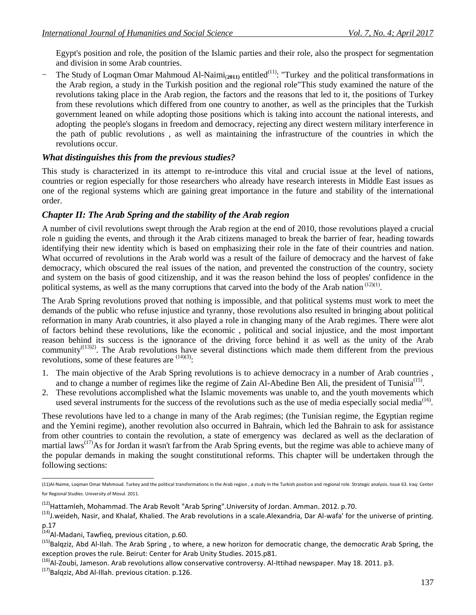Egypt's position and role, the position of the Islamic parties and their role, also the prospect for segmentation and division in some Arab countries.

The Study of Loqman Omar Mahmoud Al-Naimi<sub>(2011)</sub> entitled<sup>(11)</sup>: "Turkey and the political transformations in the Arab region, a study in the Turkish position and the regional role"This study examined the nature of the revolutions taking place in the Arab region, the factors and the reasons that led to it, the positions of Turkey from these revolutions which differed from one country to another, as well as the principles that the Turkish government leaned on while adopting those positions which is taking into account the national interests, and adopting the people's slogans in freedom and democracy, rejecting any direct western military interference in the path of public revolutions , as well as maintaining the infrastructure of the countries in which the revolutions occur.

### *What distinguishes this from the previous studies?*

This study is characterized in its attempt to re-introduce this vital and crucial issue at the level of nations, countries or region especially for those researchers who already have research interests in Middle East issues as one of the regional systems which are gaining great importance in the future and stability of the international order.

### *Chapter II: The Arab Spring and the stability of the Arab region*

A number of civil revolutions swept through the Arab region at the end of 2010, those revolutions played a crucial role n guiding the events, and through it the Arab citizens managed to break the barrier of fear, heading towards identifying their new identity which is based on emphasizing their role in the fate of their countries and nation. What occurred of revolutions in the Arab world was a result of the failure of democracy and the harvest of fake democracy, which obscured the real issues of the nation, and prevented the construction of the country, society and system on the basis of good citizenship, and it was the reason behind the loss of peoples' confidence in the political systems, as well as the many corruptions that carved into the body of the Arab nation  $(12)(1)$ .

The Arab Spring revolutions proved that nothing is impossible, and that political systems must work to meet the demands of the public who refuse injustice and tyranny, those revolutions also resulted in bringing about political reformation in many Arab countries, it also played a role in changing many of the Arab regimes. There were alot of factors behind these revolutions, like the economic , political and social injustice, and the most important reason behind its success is the ignorance of the driving force behind it as well as the unity of the Arab community<sup>((13)2)</sup>. The Arab revolutions have several distinctions which made them different from the previous revolutions, some of these features are  $(14)(3)$ :

- 1. The main objective of the Arab Spring revolutions is to achieve democracy in a number of Arab countries , and to change a number of regimes like the regime of Zain Al-Abedine Ben Ali, the president of Tunisia<sup>(15)</sup>.
- 2. These revolutions accomplished what the Islamic movements was unable to, and the youth movements which used several instruments for the success of the revolutions such as the use of media especially social media $(16)$ .

These revolutions have led to a change in many of the Arab regimes; (the Tunisian regime, the Egyptian regime and the Yemini regime), another revolution also occurred in Bahrain, which led the Bahrain to ask for assistance from other countries to contain the revolution, a state of emergency was declared as well as the declaration of martial laws<sup> $(17)$ </sup>As for Jordan it wasn't farfrom the Arab Spring events, but the regime was able to achieve many of the popular demands in making the sought constitutional reforms. This chapter will be undertaken through the following sections:

<sup>(16)</sup>Al-Zoubi, Jameson. Arab revolutions allow conservative controversy. Al-Ittihad newspaper. May 18. 2011. p3.

 (11)Al-Naime, Loqman Omar Mahmoud. Turkey and the political transformations in the Arab region , a study in the Turkish position and regional role. Strategic analysis. Issue 63. Iraq: Center for Regional Studies. University of Mosul. 2011.

<sup>&</sup>lt;sup>(12)</sup>Hattamleh, Mohammad. The Arab Revolt "Arab Spring".University of Jordan. Amman. 2012. p.70.

<sup>&</sup>lt;sup>(13)</sup>J.weideh, Nasir, and Khalaf, Khalied. The Arab revolutions in a scale.Alexandria, Dar Al-wafa' for the universe of printing. p.17

<sup>(14)</sup> Al-Madani, Tawfieq, previous citation, p.60.

<sup>&</sup>lt;sup>(15)</sup>Balqziz, Abd Al-Ilah. The Arab Spring, to where, a new horizon for democratic change, the democratic Arab Spring, the exception proves the rule. Beirut: Center for Arab Unity Studies. 2015.p81.

<sup>&</sup>lt;sup>(17)</sup>Balqziz, Abd Al-Illah. previous citation. p.126.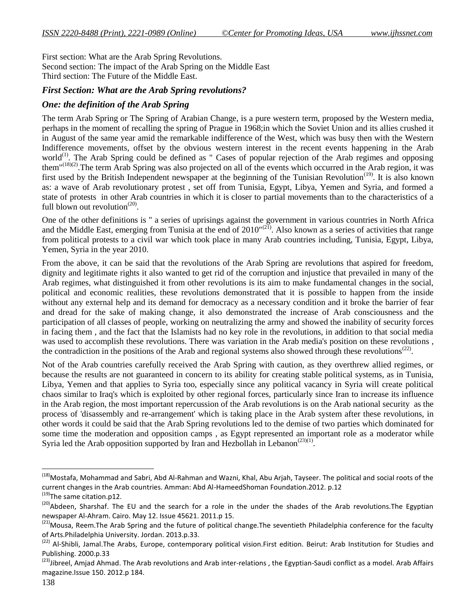First section: What are the Arab Spring Revolutions. Second section: The impact of the Arab Spring on the Middle East Third section: The Future of the Middle East.

### *First Section: What are the Arab Spring revolutions?*

## *One: the definition of the Arab Spring*

The term Arab Spring or The Spring of Arabian Change, is a pure western term, proposed by the Western media, perhaps in the moment of recalling the spring of Prague in 1968;in which the Soviet Union and its allies crushed it in August of the same year amid the remarkable indifference of the West, which was busy then with the Western Indifference movements, offset by the obvious western interest in the recent events happening in the Arab world<sup>(1)</sup>. The Arab Spring could be defined as " Cases of popular rejection of the Arab regimes and opposing them"(18)(2).The term Arab Spring was also projected on all of the events which occurred in the Arab region, it was first used by the British Independent newspaper at the beginning of the Tunisian Revolution<sup>(19)</sup>. It is also known as: a wave of Arab revolutionary protest , set off from Tunisia, Egypt, Libya, Yemen and Syria, and formed a state of protests in other Arab countries in which it is closer to partial movements than to the characteristics of a full blown out revolution<sup> $(20)$ </sup>.

One of the other definitions is " a series of uprisings against the government in various countries in North Africa and the Middle East, emerging from Tunisia at the end of  $2010^{\frac{1}{2}}$ . Also known as a series of activities that range from political protests to a civil war which took place in many Arab countries including, Tunisia, Egypt, Libya, Yemen, Syria in the year 2010.

From the above, it can be said that the revolutions of the Arab Spring are revolutions that aspired for freedom, dignity and legitimate rights it also wanted to get rid of the corruption and injustice that prevailed in many of the Arab regimes, what distinguished it from other revolutions is its aim to make fundamental changes in the social, political and economic realities, these revolutions demonstrated that it is possible to happen from the inside without any external help and its demand for democracy as a necessary condition and it broke the barrier of fear and dread for the sake of making change, it also demonstrated the increase of Arab consciousness and the participation of all classes of people, working on neutralizing the army and showed the inability of security forces in facing them , and the fact that the Islamists had no key role in the revolutions, in addition to that social media was used to accomplish these revolutions. There was variation in the Arab media's position on these revolutions , the contradiction in the positions of the Arab and regional systems also showed through these revolutions<sup> $(22)$ </sup>.

Not of the Arab countries carefully received the Arab Spring with caution, as they overthrew allied regimes, or because the results are not guaranteed in concern to its ability for creating stable political systems, as in Tunisia, Libya, Yemen and that applies to Syria too, especially since any political vacancy in Syria will create political chaos similar to Iraq's which is exploited by other regional forces, particularly since Iran to increase its influence in the Arab region, the most important repercussion of the Arab revolutions is on the Arab national security as the process of 'disassembly and re-arrangement' which is taking place in the Arab system after these revolutions, in other words it could be said that the Arab Spring revolutions led to the demise of two parties which dominated for some time the moderation and opposition camps , as Egypt represented an important role as a moderator while Syria led the Arab opposition supported by Iran and Hezbollah in Lebanon<sup>(23)(1)</sup>.

 $\overline{\phantom{a}}$ 

<sup>&</sup>lt;sup>(18)</sup>Mostafa, Mohammad and Sabri, Abd Al-Rahman and Wazni, Khal, Abu Arjah, Tayseer. The political and social roots of the current changes in the Arab countries. Amman: Abd Al-HameedShoman Foundation.2012. p.12

<sup>&</sup>lt;sup>(19)</sup>The same citation.p12.

<sup>&</sup>lt;sup>(20)</sup>Abdeen, Sharshaf. The EU and the search for a role in the under the shades of the Arab revolutions.The Egyptian newspaper Al-Ahram. Cairo. May 12. Issue 45621. 2011.p 15.

<sup>&</sup>lt;sup>(21)</sup>Mousa, Reem.The Arab Spring and the future of political change.The seventieth Philadelphia conference for the faculty of Arts.Philadelphia University. Jordan. 2013.p.33.

<sup>&</sup>lt;sup>(22)</sup> Al-Shibli, Jamal.The Arabs, Europe, contemporary political vision.First edition. Beirut: Arab Institution for Studies and Publishing. 2000.p.33

<sup>&</sup>lt;sup>(23)</sup>Jibreel, Amjad Ahmad. The Arab revolutions and Arab inter-relations , the Egyptian-Saudi conflict as a model. Arab Affairs magazine.Issue 150. 2012.p 184.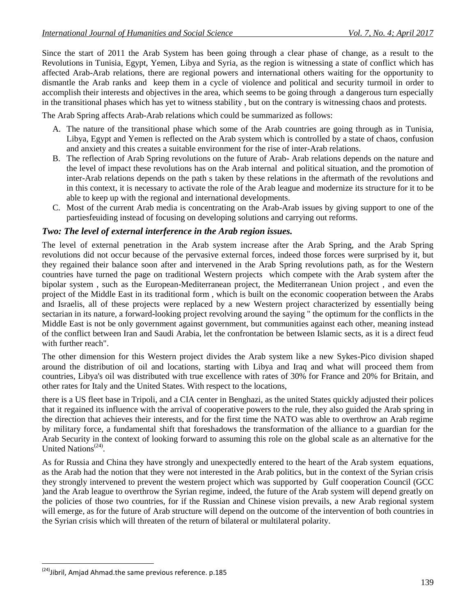Since the start of 2011 the Arab System has been going through a clear phase of change, as a result to the Revolutions in Tunisia, Egypt, Yemen, Libya and Syria, as the region is witnessing a state of conflict which has affected Arab-Arab relations, there are regional powers and international others waiting for the opportunity to dismantle the Arab ranks and keep them in a cycle of violence and political and security turmoil in order to accomplish their interests and objectives in the area, which seems to be going through a dangerous turn especially in the transitional phases which has yet to witness stability , but on the contrary is witnessing chaos and protests.

The Arab Spring affects Arab-Arab relations which could be summarized as follows:

- A. The nature of the transitional phase which some of the Arab countries are going through as in Tunisia, Libya, Egypt and Yemen is reflected on the Arab system which is controlled by a state of chaos, confusion and anxiety and this creates a suitable environment for the rise of inter-Arab relations.
- B. The reflection of Arab Spring revolutions on the future of Arab- Arab relations depends on the nature and the level of impact these revolutions has on the Arab internal and political situation, and the promotion of inter-Arab relations depends on the path s taken by these relations in the aftermath of the revolutions and in this context, it is necessary to activate the role of the Arab league and modernize its structure for it to be able to keep up with the regional and international developments.
- C. Most of the current Arab media is concentrating on the Arab-Arab issues by giving support to one of the partiesfeuiding instead of focusing on developing solutions and carrying out reforms.

### *Two: The level of external interference in the Arab region issues.*

The level of external penetration in the Arab system increase after the Arab Spring, and the Arab Spring revolutions did not occur because of the pervasive external forces, indeed those forces were surprised by it, but they regained their balance soon after and intervened in the Arab Spring revolutions path, as for the Western countries have turned the page on traditional Western projects which compete with the Arab system after the bipolar system , such as the European-Mediterranean project, the Mediterranean Union project , and even the project of the Middle East in its traditional form , which is built on the economic cooperation between the Arabs and Israelis, all of these projects were replaced by a new Western project characterized by essentially being sectarian in its nature, a forward-looking project revolving around the saying " the optimum for the conflicts in the Middle East is not be only government against government, but communities against each other, meaning instead of the conflict between Iran and Saudi Arabia, let the confrontation be between Islamic sects, as it is a direct feud with further reach".

The other dimension for this Western project divides the Arab system like a new Sykes-Pico division shaped around the distribution of oil and locations, starting with Libya and Iraq and what will proceed them from countries, Libya's oil was distributed with true excellence with rates of 30% for France and 20% for Britain, and other rates for Italy and the United States. With respect to the locations,

there is a US fleet base in Tripoli, and a CIA center in Benghazi, as the united States quickly adjusted their polices that it regained its influence with the arrival of cooperative powers to the rule, they also guided the Arab spring in the direction that achieves their interests, and for the first time the NATO was able to overthrow an Arab regime by military force, a fundamental shift that foreshadows the transformation of the alliance to a guardian for the Arab Security in the context of looking forward to assuming this role on the global scale as an alternative for the United Nations<sup>(24)</sup>.

As for Russia and China they have strongly and unexpectedly entered to the heart of the Arab system equations, as the Arab had the notion that they were not interested in the Arab politics, but in the context of the Syrian crisis they strongly intervened to prevent the western project which was supported by Gulf cooperation Council (GCC )and the Arab league to overthrow the Syrian regime, indeed, the future of the Arab system will depend greatly on the policies of those two countries, for if the Russian and Chinese vision prevails, a new Arab regional system will emerge, as for the future of Arab structure will depend on the outcome of the intervention of both countries in the Syrian crisis which will threaten of the return of bilateral or multilateral polarity.

 (24) Jibril, Amjad Ahmad.the same previous reference. p.185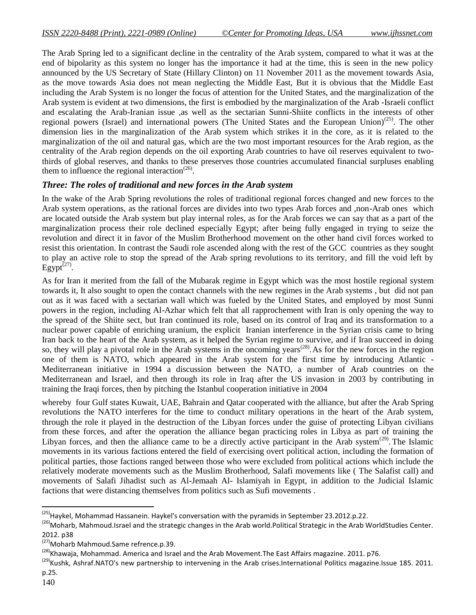The Arab Spring led to a significant decline in the centrality of the Arab system, compared to what it was at the end of bipolarity as this system no longer has the importance it had at the time, this is seen in the new policy announced by the US Secretary of State (Hillary Clinton) on 11 November 2011 as the movement towards Asia, as the move towards Asia does not mean neglecting the Middle East, But it is obvious that the Middle East including the Arab System is no longer the focus of attention for the United States, and the marginalization of the Arab system is evident at two dimensions, the first is embodied by the marginalization of the Arab -Israeli conflict and escalating the Arab-Iranian issue ,as well as the sectarian Sunni-Shiite conflicts in the interests of other regional powers (Israel) and international powers (The United States and the European Union)<sup>(25)</sup>. The other dimension lies in the marginalization of the Arab system which strikes it in the core, as it is related to the marginalization of the oil and natural gas, which are the two most important resources for the Arab region, as the centrality of the Arab region depends on the oil exporting Arab countries to have oil reserves equivalent to twothirds of global reserves, and thanks to these preserves those countries accumulated financial surpluses enabling them to influence the regional interaction<sup> $(26)$ </sup>.

## *Three: The roles of traditional and new forces in the Arab system*

In the wake of the Arab Spring revolutions the roles of traditional regional forces changed and new forces to the Arab system operations, as the rational forces are divides into two types Arab forces and ,non-Arab ones which are located outside the Arab system but play internal roles, as for the Arab forces we can say that as a part of the marginalization process their role declined especially Egypt; after being fully engaged in trying to seize the revolution and direct it in favor of the Muslim Brotherhood movement on the other hand civil forces worked to resist this orientation. In contrast the Saudi role ascended along with the rest of the GCC countries as they sought to play an active role to stop the spread of the Arab spring revolutions to its territory, and fill the void left by  $Egypt^{(27)}$ .

As for Iran it merited from the fall of the Mubarak regime in Egypt which was the most hostile regional system towards it, It also sought to open the contact channels with the new regimes in the Arab systems , but did not pan out as it was faced with a sectarian wall which was fueled by the United States, and employed by most Sunni powers in the region, including Al-Azhar which felt that all rapprochement with Iran is only opening the way to the spread of the Shiite sect, but Iran continued its role, based on its control of Iraq and its transformation to a nuclear power capable of enriching uranium, the explicit Iranian interference in the Syrian crisis came to bring Iran back to the heart of the Arab system, as it helped the Syrian regime to survive, and if Iran succeed in doing so, they will play a pivotal role in the Arab systems in the oncoming years<sup> $(28)$ </sup>. As for the new forces in the region one of them is NATO, which appeared in the Arab system for the first time by introducing Atlantic - Mediterranean initiative in 1994 a discussion between the NATO, a number of Arab countries on the Mediterranean and Israel, and then through its role in Iraq after the US invasion in 2003 by contributing in training the Iraqi forces, then by pitching the Istanbul cooperation initiative in 2004

whereby four Gulf states Kuwait, UAE, Bahrain and Qatar cooperated with the alliance, but after the Arab Spring revolutions the NATO interferes for the time to conduct military operations in the heart of the Arab system, through the role it played in the destruction of the Libyan forces under the guise of protecting Libyan civilians from these forces, and after the operation the alliance began practicing roles in Libya as part of training the Libyan forces, and then the alliance came to be a directly active participant in the Arab system<sup> $(29)$ </sup>. The Islamic movements in its various factions entered the field of exercising overt political action, including the formation of political parties, those factions ranged between those who were excluded from political actions which include the relatively moderate movements such as the Muslim Brotherhood, Salafi movements like ( The Salafist call) and movements of Salafi Jihadist such as Al-Jemaah Al- Islamiyah in Egypt, in addition to the Judicial Islamic factions that were distancing themselves from politics such as Sufi movements .

p.25.

 (25) Haykel, Mohammad Hassanein. Haykel's conversation with the pyramids in September 23.2012.p.22.

<sup>(26)</sup>Moharb, Mahmoud.Israel and the strategic changes in the Arab world.Political Strategic in the Arab WorldStudies Center. 2012. p38

<sup>&</sup>lt;sup>(27)</sup>Moharb Mahmoud.Same refrence.p.39.

<sup>&</sup>lt;sup>(28)</sup>Khawaja, Mohammad. America and Israel and the Arab Movement.The East Affairs magazine. 2011. p76.

<sup>&</sup>lt;sup>(29)</sup>Kushk, Ashraf.NATO's new partnership to intervening in the Arab crises.International Politics magazine.Issue 185. 2011.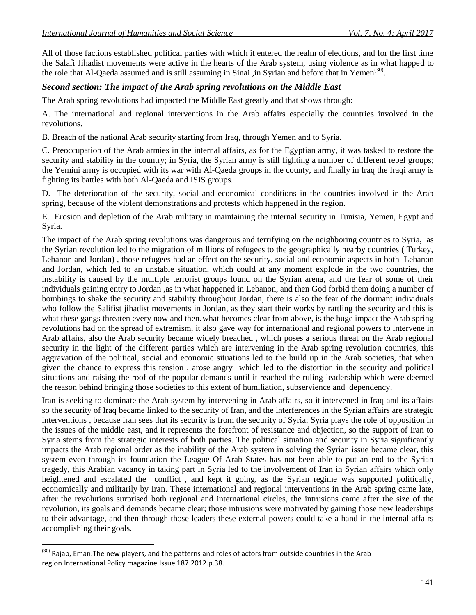All of those factions established political parties with which it entered the realm of elections, and for the first time the Salafi Jihadist movements were active in the hearts of the Arab system, using violence as in what happed to the role that Al-Qaeda assumed and is still assuming in Sinai ,in Syrian and before that in Yemen<sup>(30)</sup>.

## *Second section: The impact of the Arab spring revolutions on the Middle East*

The Arab spring revolutions had impacted the Middle East greatly and that shows through:

A. The international and regional interventions in the Arab affairs especially the countries involved in the revolutions.

B. Breach of the national Arab security starting from Iraq, through Yemen and to Syria.

C. Preoccupation of the Arab armies in the internal affairs, as for the Egyptian army, it was tasked to restore the security and stability in the country; in Syria, the Syrian army is still fighting a number of different rebel groups; the Yemini army is occupied with its war with Al-Qaeda groups in the county, and finally in Iraq the Iraqi army is fighting its battles with both Al-Qaeda and ISIS groups.

D. The deterioration of the security, social and economical conditions in the countries involved in the Arab spring, because of the violent demonstrations and protests which happened in the region.

E. Erosion and depletion of the Arab military in maintaining the internal security in Tunisia, Yemen, Egypt and Syria.

The impact of the Arab spring revolutions was dangerous and terrifying on the neighboring countries to Syria, as the Syrian revolution led to the migration of millions of refugees to the geographically nearby countries ( Turkey, Lebanon and Jordan) , those refugees had an effect on the security, social and economic aspects in both Lebanon and Jordan, which led to an unstable situation, which could at any moment explode in the two countries, the instability is caused by the multiple terrorist groups found on the Syrian arena, and the fear of some of their individuals gaining entry to Jordan ,as in what happened in Lebanon, and then God forbid them doing a number of bombings to shake the security and stability throughout Jordan, there is also the fear of the dormant individuals who follow the Salifist jihadist movements in Jordan, as they start their works by rattling the security and this is what these gangs threaten every now and then. what becomes clear from above, is the huge impact the Arab spring revolutions had on the spread of extremism, it also gave way for international and regional powers to intervene in Arab affairs, also the Arab security became widely breached , which poses a serious threat on the Arab regional security in the light of the different parties which are intervening in the Arab spring revolution countries, this aggravation of the political, social and economic situations led to the build up in the Arab societies, that when given the chance to express this tension , arose angry which led to the distortion in the security and political situations and raising the roof of the popular demands until it reached the ruling-leadership which were deemed the reason behind bringing those societies to this extent of humiliation, subservience and dependency.

Iran is seeking to dominate the Arab system by intervening in Arab affairs, so it intervened in Iraq and its affairs so the security of Iraq became linked to the security of Iran, and the interferences in the Syrian affairs are strategic interventions , because Iran sees that its security is from the security of Syria; Syria plays the role of opposition in the issues of the middle east, and it represents the forefront of resistance and objection, so the support of Iran to Syria stems from the strategic interests of both parties. The political situation and security in Syria significantly impacts the Arab regional order as the inability of the Arab system in solving the Syrian issue became clear, this system even through its foundation the League Of Arab States has not been able to put an end to the Syrian tragedy, this Arabian vacancy in taking part in Syria led to the involvement of Iran in Syrian affairs which only heightened and escalated the conflict , and kept it going, as the Syrian regime was supported politically, economically and militarily by Iran. These international and regional interventions in the Arab spring came late, after the revolutions surprised both regional and international circles, the intrusions came after the size of the revolution, its goals and demands became clear; those intrusions were motivated by gaining those new leaderships to their advantage, and then through those leaders these external powers could take a hand in the internal affairs accomplishing their goals.

 (30) Rajab, Eman.The new players, and the patterns and roles of actors from outside countries in the Arab region.International Policy magazine.Issue 187.2012.p.38.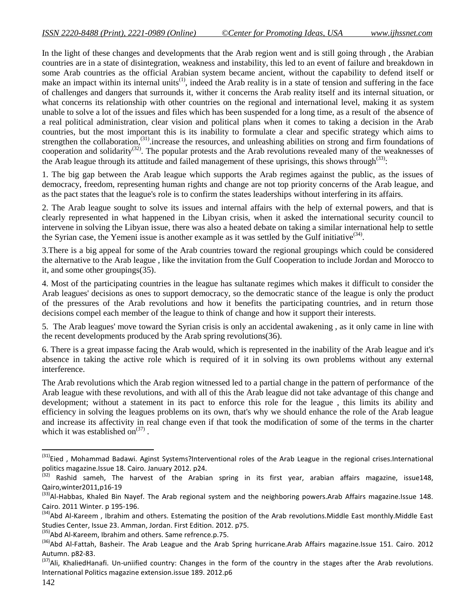In the light of these changes and developments that the Arab region went and is still going through , the Arabian countries are in a state of disintegration, weakness and instability, this led to an event of failure and breakdown in some Arab countries as the official Arabian system became ancient, without the capability to defend itself or make an impact within its internal units<sup>(1)</sup>, indeed the Arab reality is in a state of tension and suffering in the face of challenges and dangers that surrounds it, wither it concerns the Arab reality itself and its internal situation, or what concerns its relationship with other countries on the regional and international level, making it as system unable to solve a lot of the issues and files which has been suspended for a long time, as a result of the absence of a real political administration, clear vision and political plans when it comes to taking a decision in the Arab countries, but the most important this is its inability to formulate a clear and specific strategy which aims to strengthen the collaboration,<sup>(31)</sup> increase the resources, and unleashing abilities on strong and firm foundations of cooperation and solidarity<sup>(32)</sup>. The popular protests and the Arab revolutions revealed many of the weaknesses of the Arab league through its attitude and failed management of these uprisings, this shows through  $(33)$ :

1. The big gap between the Arab league which supports the Arab regimes against the public, as the issues of democracy, freedom, representing human rights and change are not top priority concerns of the Arab league, and as the pact states that the league's role is to confirm the states leaderships without interfering in its affairs.

2. The Arab league sought to solve its issues and internal affairs with the help of external powers, and that is clearly represented in what happened in the Libyan crisis, when it asked the international security council to intervene in solving the Libyan issue, there was also a heated debate on taking a similar international help to settle the Syrian case, the Yemeni issue is another example as it was settled by the Gulf initiative  $(34)$ .

3.There is a big appeal for some of the Arab countries toward the regional groupings which could be considered the alternative to the Arab league , like the invitation from the Gulf Cooperation to include Jordan and Morocco to it, and some other groupings(35).

4. Most of the participating countries in the league has sultanate regimes which makes it difficult to consider the Arab leagues' decisions as ones to support democracy, so the democratic stance of the league is only the product of the pressures of the Arab revolutions and how it benefits the participating countries, and in return those decisions compel each member of the league to think of change and how it support their interests.

5. The Arab leagues' move toward the Syrian crisis is only an accidental awakening , as it only came in line with the recent developments produced by the Arab spring revolutions(36).

6. There is a great impasse facing the Arab would, which is represented in the inability of the Arab league and it's absence in taking the active role which is required of it in solving its own problems without any external interference.

The Arab revolutions which the Arab region witnessed led to a partial change in the pattern of performance of the Arab league with these revolutions, and with all of this the Arab league did not take advantage of this change and development; without a statement in its pact to enforce this role for the league , this limits its ability and efficiency in solving the leagues problems on its own, that's why we should enhance the role of the Arab league and increase its affectivity in real change even if that took the modification of some of the terms in the charter which it was established on $(37)$ .

l

<sup>&</sup>lt;sup>(31)</sup>Eied, Mohammad Badawi. Aginst Systems?Interventional roles of the Arab League in the regional crises.International

politics magazine.Issue 18. Cairo. January 2012. p24.<br><sup>(32)</sup> Rashid sameh, The harvest of the Arabian spring in its first year, arabian affairs magazine, issue148, Qairo,winter2011,p16-19

<sup>&</sup>lt;sup>(33)</sup>Al-Habbas, Khaled Bin Nayef. The Arab regional system and the neighboring powers.Arab Affairs magazine.Issue 148. Cairo. 2011 Winter. p 195-196.

<sup>&</sup>lt;sup>(34)</sup>Abd Al-Kareem, Ibrahim and others. Estemating the position of the Arab revolutions.Middle East monthly.Middle East Studies Center, Issue 23. Amman, Jordan. First Edition. 2012. p75.

<sup>&</sup>lt;sup>(35)</sup>Abd Al-Kareem, Ibrahim and others. Same refrence.p.75.

<sup>&</sup>lt;sup>(36)</sup>Abd Al-Fattah, Basheir. The Arab League and the Arab Spring hurricane.Arab Affairs magazine.Issue 151. Cairo. 2012 Autumn. p82-83.

<sup>&</sup>lt;sup>(37)</sup>Ali, KhaliedHanafi. Un-uniified country: Changes in the form of the country in the stages after the Arab revolutions. International Politics magazine extension.issue 189. 2012.p6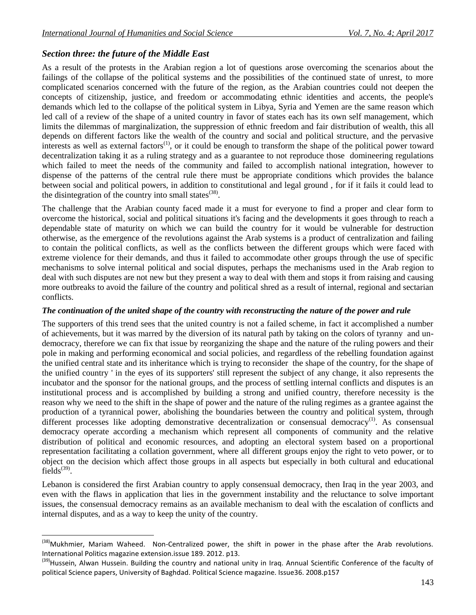# *Section three: the future of the Middle East*

 $\overline{\phantom{a}}$ 

As a result of the protests in the Arabian region a lot of questions arose overcoming the scenarios about the failings of the collapse of the political systems and the possibilities of the continued state of unrest, to more complicated scenarios concerned with the future of the region, as the Arabian countries could not deepen the concepts of citizenship, justice, and freedom or accommodating ethnic identities and accents, the people's demands which led to the collapse of the political system in Libya, Syria and Yemen are the same reason which led call of a review of the shape of a united country in favor of states each has its own self management, which limits the dilemmas of marginalization, the suppression of ethnic freedom and fair distribution of wealth, this all depends on different factors like the wealth of the country and social and political structure, and the pervasive interests as well as external factors<sup>(1)</sup>, or it could be enough to transform the shape of the political power toward decentralization taking it as a ruling strategy and as a guarantee to not reproduce those domineering regulations which failed to meet the needs of the community and failed to accomplish national integration, however to dispense of the patterns of the central rule there must be appropriate conditions which provides the balance between social and political powers, in addition to constitutional and legal ground , for if it fails it could lead to the disintegration of the country into small states<sup>(38)</sup>.

The challenge that the Arabian county faced made it a must for everyone to find a proper and clear form to overcome the historical, social and political situations it's facing and the developments it goes through to reach a dependable state of maturity on which we can build the country for it would be vulnerable for destruction otherwise, as the emergence of the revolutions against the Arab systems is a product of centralization and failing to contain the political conflicts, as well as the conflicts between the different groups which were faced with extreme violence for their demands, and thus it failed to accommodate other groups through the use of specific mechanisms to solve internal political and social disputes, perhaps the mechanisms used in the Arab region to deal with such disputes are not new but they present a way to deal with them and stops it from raising and causing more outbreaks to avoid the failure of the country and political shred as a result of internal, regional and sectarian conflicts.

### *The continuation of the united shape of the country with reconstructing the nature of the power and rule*

The supporters of this trend sees that the united country is not a failed scheme, in fact it accomplished a number of achievements, but it was marred by the diversion of its natural path by taking on the colors of tyranny and undemocracy, therefore we can fix that issue by reorganizing the shape and the nature of the ruling powers and their pole in making and performing economical and social policies, and regardless of the rebelling foundation against the unified central state and its inheritance which is trying to reconsider the shape of the country, for the shape of the unified country ' in the eyes of its supporters' still represent the subject of any change, it also represents the incubator and the sponsor for the national groups, and the process of settling internal conflicts and disputes is an institutional process and is accomplished by building a strong and unified country, therefore necessity is the reason why we need to the shift in the shape of power and the nature of the ruling regimes as a grantee against the production of a tyrannical power, abolishing the boundaries between the country and political system, through different processes like adopting demonstrative decentralization or consensual democracy<sup>(1)</sup>. As consensual democracy operate according a mechanism which represent all components of community and the relative distribution of political and economic resources, and adopting an electoral system based on a proportional representation facilitating a collation government, where all different groups enjoy the right to veto power, or to object on the decision which affect those groups in all aspects but especially in both cultural and educational fields $^{(39)}$ .

Lebanon is considered the first Arabian country to apply consensual democracy, then Iraq in the year 2003, and even with the flaws in application that lies in the government instability and the reluctance to solve important issues, the consensual democracy remains as an available mechanism to deal with the escalation of conflicts and internal disputes, and as a way to keep the unity of the country.

<sup>&</sup>lt;sup>(38)</sup>Mukhmier, Mariam Waheed. Non-Centralized power, the shift in power in the phase after the Arab revolutions. International Politics magazine extension.issue 189. 2012. p13.

<sup>&</sup>lt;sup>(39)</sup>Hussein, Alwan Hussein. Building the country and national unity in Iraq. Annual Scientific Conference of the faculty of political Science papers, University of Baghdad. Political Science magazine. Issue36. 2008.p157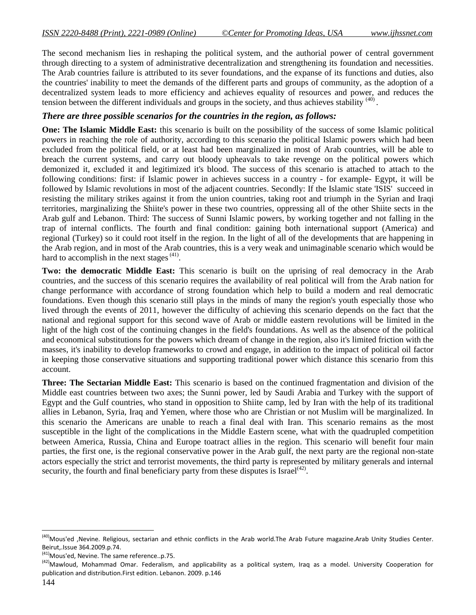The second mechanism lies in reshaping the political system, and the authorial power of central government through directing to a system of administrative decentralization and strengthening its foundation and necessities. The Arab countries failure is attributed to its sever foundations, and the expanse of its functions and duties, also the countries' inability to meet the demands of the different parts and groups of community, as the adoption of a decentralized system leads to more efficiency and achieves equality of resources and power, and reduces the tension between the different individuals and groups in the society, and thus achieves stability <sup>(40)</sup>.

#### *There are three possible scenarios for the countries in the region, as follows:*

**One: The Islamic Middle East:** this scenario is built on the possibility of the success of some Islamic political powers in reaching the role of authority, according to this scenario the political Islamic powers which had been excluded from the political field, or at least had been marginalized in most of Arab countries, will be able to breach the current systems, and carry out bloody upheavals to take revenge on the political powers which demonized it, excluded it and legitimized it's blood. The success of this scenario is attached to attach to the following conditions: first: if Islamic power in achieves success in a country - for example- Egypt, it will be followed by Islamic revolutions in most of the adjacent countries. Secondly: If the Islamic state 'ISIS' succeed in resisting the military strikes against it from the union countries, taking root and triumph in the Syrian and Iraqi territories, marginalizing the Shiite's power in these two countries, oppressing all of the other Shiite sects in the Arab gulf and Lebanon. Third: The success of Sunni Islamic powers, by working together and not falling in the trap of internal conflicts. The fourth and final condition: gaining both international support (America) and regional (Turkey) so it could root itself in the region. In the light of all of the developments that are happening in the Arab region, and in most of the Arab countries, this is a very weak and unimaginable scenario which would be hard to accomplish in the next stages  $(41)$ .

**Two: the democratic Middle East:** This scenario is built on the uprising of real democracy in the Arab countries, and the success of this scenario requires the availability of real political will from the Arab nation for change performance with accordance of strong foundation which help to build a modern and real democratic foundations. Even though this scenario still plays in the minds of many the region's youth especially those who lived through the events of 2011, however the difficulty of achieving this scenario depends on the fact that the national and regional support for this second wave of Arab or middle eastern revolutions will be limited in the light of the high cost of the continuing changes in the field's foundations. As well as the absence of the political and economical substitutions for the powers which dream of change in the region, also it's limited friction with the masses, it's inability to develop frameworks to crowd and engage, in addition to the impact of political oil factor in keeping those conservative situations and supporting traditional power which distance this scenario from this account.

**Three: The Sectarian Middle East:** This scenario is based on the continued fragmentation and division of the Middle east countries between two axes; the Sunni power, led by Saudi Arabia and Turkey with the support of Egypt and the Gulf countries, who stand in opposition to Shiite camp, led by Iran with the help of its traditional allies in Lebanon, Syria, Iraq and Yemen, where those who are Christian or not Muslim will be marginalized. In this scenario the Americans are unable to reach a final deal with Iran. This scenario remains as the most susceptible in the light of the complications in the Middle Eastern scene, what with the quadrupled competition between America, Russia, China and Europe toatract allies in the region. This scenario will benefit four main parties, the first one, is the regional conservative power in the Arab gulf, the next party are the regional non-state actors especially the strict and terrorist movements, the third party is represented by military generals and internal security, the fourth and final beneficiary party from these disputes is Israel $(42)$ .

 $\overline{a}$ 

<sup>&</sup>lt;sup>(40)</sup>Mous'ed ,Nevine. Religious, sectarian and ethnic conflicts in the Arab world.The Arab Future magazine.Arab Unity Studies Center. Beirut,.Issue 364.2009.p.74.

 $^{(41)}$ Mous'ed, Nevine. The same reference..p.75.

<sup>&</sup>lt;sup>(42)</sup>Mawloud, Mohammad Omar. Federalism, and applicability as a political system, Iraq as a model. University Cooperation for publication and distribution.First edition. Lebanon. 2009. p.146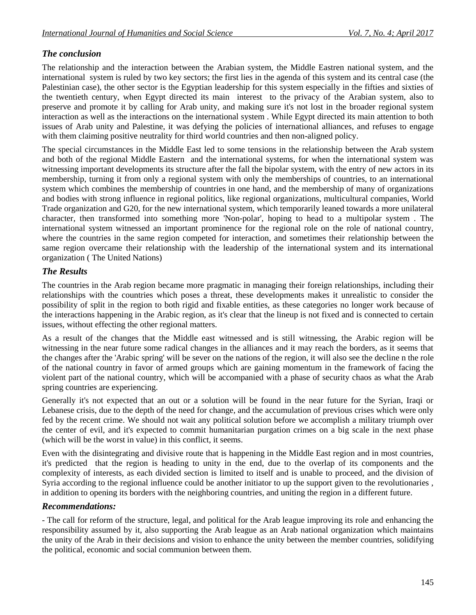# *The conclusion*

The relationship and the interaction between the Arabian system, the Middle Eastren national system, and the international system is ruled by two key sectors; the first lies in the agenda of this system and its central case (the Palestinian case), the other sector is the Egyptian leadership for this system especially in the fifties and sixties of the twentieth century, when Egypt directed its main interest to the privacy of the Arabian system, also to preserve and promote it by calling for Arab unity, and making sure it's not lost in the broader regional system interaction as well as the interactions on the international system . While Egypt directed its main attention to both issues of Arab unity and Palestine, it was defying the policies of international alliances, and refuses to engage with them claiming positive neutrality for third world countries and then non-aligned policy.

The special circumstances in the Middle East led to some tensions in the relationship between the Arab system and both of the regional Middle Eastern and the international systems, for when the international system was witnessing important developments its structure after the fall the bipolar system, with the entry of new actors in its membership, turning it from only a regional system with only the memberships of countries, to an international system which combines the membership of countries in one hand, and the membership of many of organizations and bodies with strong influence in regional politics, like regional organizations, multicultural companies, World Trade organization and G20, for the new international system, which temporarily leaned towards a more unilateral character, then transformed into something more 'Non-polar', hoping to head to a multipolar system . The international system witnessed an important prominence for the regional role on the role of national country, where the countries in the same region competed for interaction, and sometimes their relationship between the same region overcame their relationship with the leadership of the international system and its international organization ( The United Nations)

# *The Results*

The countries in the Arab region became more pragmatic in managing their foreign relationships, including their relationships with the countries which poses a threat, these developments makes it unrealistic to consider the possibility of split in the region to both rigid and fixable entities, as these categories no longer work because of the interactions happening in the Arabic region, as it's clear that the lineup is not fixed and is connected to certain issues, without effecting the other regional matters.

As a result of the changes that the Middle east witnessed and is still witnessing, the Arabic region will be witnessing in the near future some radical changes in the alliances and it may reach the borders, as it seems that the changes after the 'Arabic spring' will be sever on the nations of the region, it will also see the decline n the role of the national country in favor of armed groups which are gaining momentum in the framework of facing the violent part of the national country, which will be accompanied with a phase of security chaos as what the Arab spring countries are experiencing.

Generally it's not expected that an out or a solution will be found in the near future for the Syrian, Iraqi or Lebanese crisis, due to the depth of the need for change, and the accumulation of previous crises which were only fed by the recent crime. We should not wait any political solution before we accomplish a military triumph over the center of evil, and it's expected to commit humanitarian purgation crimes on a big scale in the next phase (which will be the worst in value) in this conflict, it seems.

Even with the disintegrating and divisive route that is happening in the Middle East region and in most countries, it's predicted that the region is heading to unity in the end, due to the overlap of its components and the complexity of interests, as each divided section is limited to itself and is unable to proceed, and the division of Syria according to the regional influence could be another initiator to up the support given to the revolutionaries , in addition to opening its borders with the neighboring countries, and uniting the region in a different future.

# *Recommendations:*

- The call for reform of the structure, legal, and political for the Arab league improving its role and enhancing the responsibility assumed by it, also supporting the Arab league as an Arab national organization which maintains the unity of the Arab in their decisions and vision to enhance the unity between the member countries, solidifying the political, economic and social communion between them.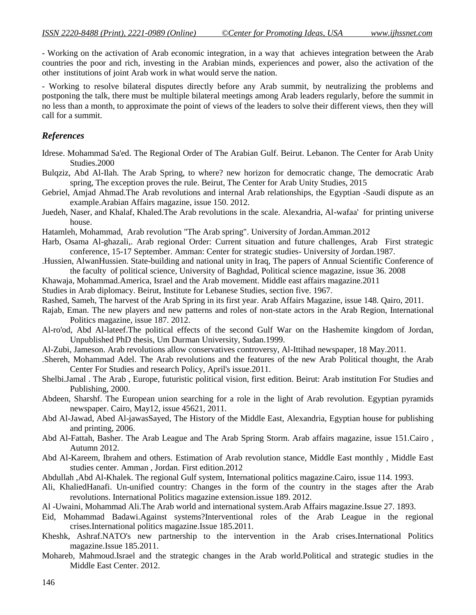- Working on the activation of Arab economic integration, in a way that achieves integration between the Arab countries the poor and rich, investing in the Arabian minds, experiences and power, also the activation of the other institutions of joint Arab work in what would serve the nation.

- Working to resolve bilateral disputes directly before any Arab summit, by neutralizing the problems and postponing the talk, there must be multiple bilateral meetings among Arab leaders regularly, before the summit in no less than a month, to approximate the point of views of the leaders to solve their different views, then they will call for a summit.

#### *References*

- Idrese. Mohammad Sa'ed. The Regional Order of The Arabian Gulf. Beirut. Lebanon. The Center for Arab Unity Studies.2000
- Bulqziz, Abd Al-Ilah. The Arab Spring, to where? new horizon for democratic change, The democratic Arab spring, The exception proves the rule. Beirut, The Center for Arab Unity Studies, 2015
- Gebriel, Amjad Ahmad.The Arab revolutions and internal Arab relationships, the Egyptian -Saudi dispute as an example.Arabian Affairs magazine, issue 150. 2012.
- Juedeh, Naser, and Khalaf, Khaled.The Arab revolutions in the scale. Alexandria, Al-wafaa' for printing universe house.
- Hatamleh, Mohammad, Arab revolution "The Arab spring". University of Jordan.Amman.2012
- Harb, Osama Al-ghazali,. Arab regional Order: Current situation and future challenges, Arab First strategic conference, 15-17 September. Amman: Center for strategic studies- University of Jordan.1987.
- .Hussien, AlwanHussien. State-building and national unity in Iraq, The papers of Annual Scientific Conference of the faculty of political science, University of Baghdad, Political science magazine, issue 36. 2008
- Khawaja, Mohammad.America, Israel and the Arab movement. Middle east affairs magazine.2011
- Studies in Arab diplomacy. Beirut, Institute for Lebanese Studies, section five. 1967.
- Rashed, Sameh, The harvest of the Arab Spring in its first year. Arab Affairs Magazine, issue 148. Qairo, 2011.
- Rajab, Eman. The new players and new patterns and roles of non-state actors in the Arab Region, International Politics magazine, issue 187. 2012.
- Al-ro'od, Abd Al-lateef.The political effects of the second Gulf War on the Hashemite kingdom of Jordan, Unpublished PhD thesis, Um Durman University, Sudan.1999.
- Al-Zubi, Jameson. Arab revolutions allow conservatives controversy, Al-Ittihad newspaper, 18 May.2011.
- .Shereh, Mohammad Adel. The Arab revolutions and the features of the new Arab Political thought, the Arab Center For Studies and research Policy, April's issue.2011.
- Shelbi.Jamal . The Arab , Europe, futuristic political vision, first edition. Beirut: Arab institution For Studies and Publishing, 2000.
- Abdeen, Sharshf. The European union searching for a role in the light of Arab revolution. Egyptian pyramids newspaper. Cairo, May12, issue 45621, 2011.
- Abd Al-Jawad, Abed Al-jawasSayed, The History of the Middle East, Alexandria, Egyptian house for publishing and printing, 2006.
- Abd Al-Fattah, Basher. The Arab League and The Arab Spring Storm. Arab affairs magazine, issue 151.Cairo , Autumn 2012.
- Abd Al-Kareem, Ibrahem and others. Estimation of Arab revolution stance, Middle East monthly , Middle East studies center. Amman , Jordan. First edition.2012
- Abdullah ,Abd Al-Khalek. The regional Gulf system, International politics magazine.Cairo, issue 114. 1993.
- Ali, KhaliedHanafi. Un-unified country: Changes in the form of the country in the stages after the Arab revolutions. International Politics magazine extension.issue 189. 2012.
- Al -Uwaini, Mohammad Ali.The Arab world and international system.Arab Affairs magazine.Issue 27. 1893.
- Eid, Mohammad Badawi.Against systems?Interventional roles of the Arab League in the regional crises.International politics magazine.Issue 185.2011.
- Kheshk, Ashraf.NATO's new partnership to the intervention in the Arab crises.International Politics magazine.Issue 185.2011.
- Mohareb, Mahmoud.Israel and the strategic changes in the Arab world.Political and strategic studies in the Middle East Center. 2012.